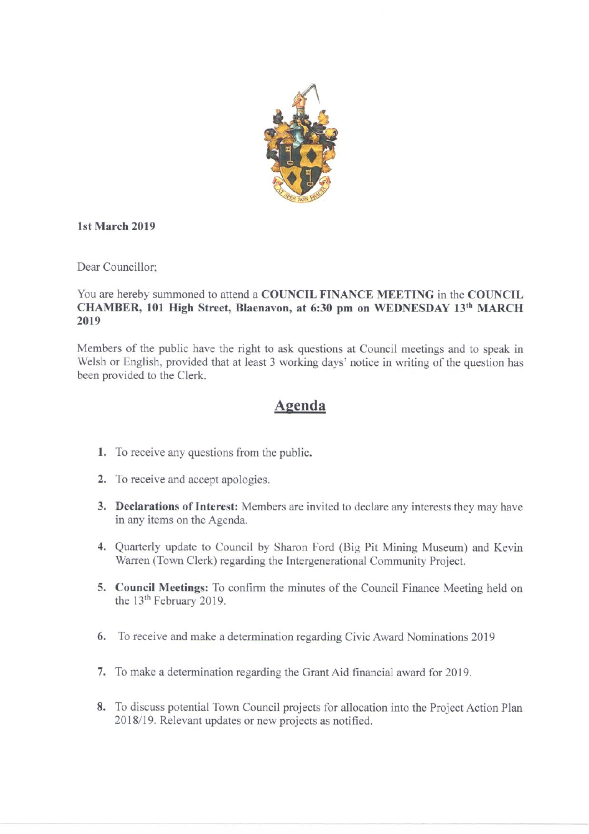

#### 1st March 2019

Dear Councillor:

### You are hereby summoned to attend a COUNCIL FINANCE MEETING in the COUNCIL CHAMBER, 101 High Street, Blaenavon, at 6:30 pm on WEDNESDAY 13th MARCH 2019

Members of the public have the right to ask questions at Council meetings and to speak in Welsh or English, provided that at least 3 working days' notice in writing of the question has been provided to the Clerk.

# Agenda

- 1. To receive any questions from the public.
- 2. To receive and accept apologies.
- 3. Declarations of Interest: Members are invited to declare any interests they may have in any items on the Agenda.
- 4. Quarterly update to Council by Sharon Ford (Big Pit Mining Museum) and Kevin Warren (Town Clerk) regarding the Intergenerational Community Project.
- 5. Council Meetings: To confirm the minutes of the Council Finance Meeting held on the 13<sup>th</sup> February 2019.
- 6. To receive and make a determination regarding Civic Award Nominations 2019
- 7. To make a determination regarding the Grant Aid financial award for 2019.
- 8. To discuss potential Town Council projects for allocation into the Project Action Plan 2018/19. Relevant updates or new projects as notified.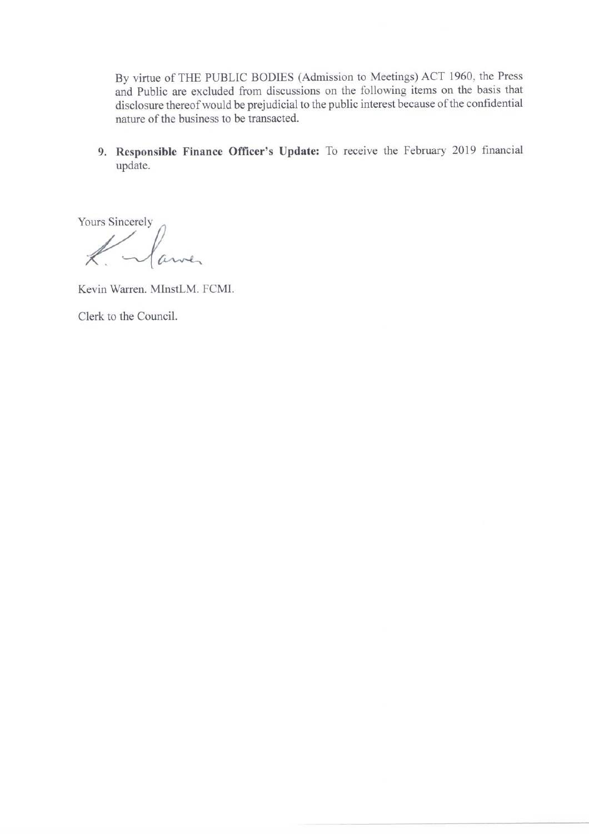By virtue of THE PUBLIC BODIES (Admission to Meetings) ACT 1960, the Press and Public are excluded from discussions on the following items on the basis that disclosure thereof would be prejudicial to the public interest because of the confidential nature of the business to be transacted.

9. Responsible Finance Officer's Update: To receive the February 2019 financial update.

Yours Sincerely

Kulawa

Kevin Warren, MInstLM, FCMI,

Clerk to the Council.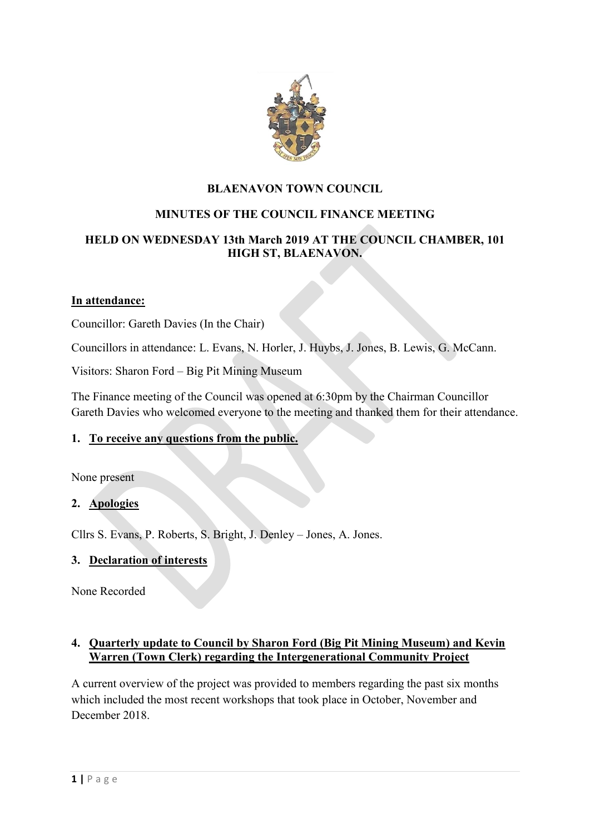

## **BLAENAVON TOWN COUNCIL**

# **MINUTES OF THE COUNCIL FINANCE MEETING**

## **HELD ON WEDNESDAY 13th March 2019 AT THE COUNCIL CHAMBER, 101 HIGH ST, BLAENAVON.**

#### **In attendance:**

Councillor: Gareth Davies (In the Chair)

Councillors in attendance: L. Evans, N. Horler, J. Huybs, J. Jones, B. Lewis, G. McCann.

Visitors: Sharon Ford – Big Pit Mining Museum

The Finance meeting of the Council was opened at 6:30pm by the Chairman Councillor Gareth Davies who welcomed everyone to the meeting and thanked them for their attendance.

### **1. To receive any questions from the public.**

None present

### **2. Apologies**

Cllrs S. Evans, P. Roberts, S. Bright, J. Denley – Jones, A. Jones.

### **3. Declaration of interests**

None Recorded

#### **4. Quarterly update to Council by Sharon Ford (Big Pit Mining Museum) and Kevin Warren (Town Clerk) regarding the Intergenerational Community Project**

A current overview of the project was provided to members regarding the past six months which included the most recent workshops that took place in October, November and December 2018.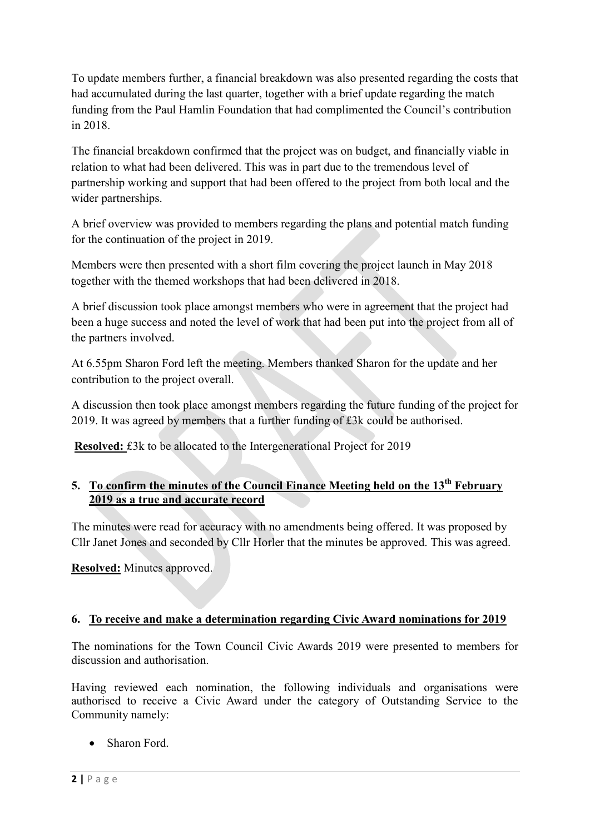To update members further, a financial breakdown was also presented regarding the costs that had accumulated during the last quarter, together with a brief update regarding the match funding from the Paul Hamlin Foundation that had complimented the Council's contribution in 2018.

The financial breakdown confirmed that the project was on budget, and financially viable in relation to what had been delivered. This was in part due to the tremendous level of partnership working and support that had been offered to the project from both local and the wider partnerships.

A brief overview was provided to members regarding the plans and potential match funding for the continuation of the project in 2019.

Members were then presented with a short film covering the project launch in May 2018 together with the themed workshops that had been delivered in 2018.

A brief discussion took place amongst members who were in agreement that the project had been a huge success and noted the level of work that had been put into the project from all of the partners involved.

At 6.55pm Sharon Ford left the meeting. Members thanked Sharon for the update and her contribution to the project overall.

A discussion then took place amongst members regarding the future funding of the project for 2019. It was agreed by members that a further funding of £3k could be authorised.

**Resolved:** £3k to be allocated to the Intergenerational Project for 2019

# **5. To confirm the minutes of the Council Finance Meeting held on the 13th February 2019 as a true and accurate record**

The minutes were read for accuracy with no amendments being offered. It was proposed by Cllr Janet Jones and seconded by Cllr Horler that the minutes be approved. This was agreed.

**Resolved:** Minutes approved.

# **6. To receive and make a determination regarding Civic Award nominations for 2019**

The nominations for the Town Council Civic Awards 2019 were presented to members for discussion and authorisation.

Having reviewed each nomination, the following individuals and organisations were authorised to receive a Civic Award under the category of Outstanding Service to the Community namely:

• Sharon Ford.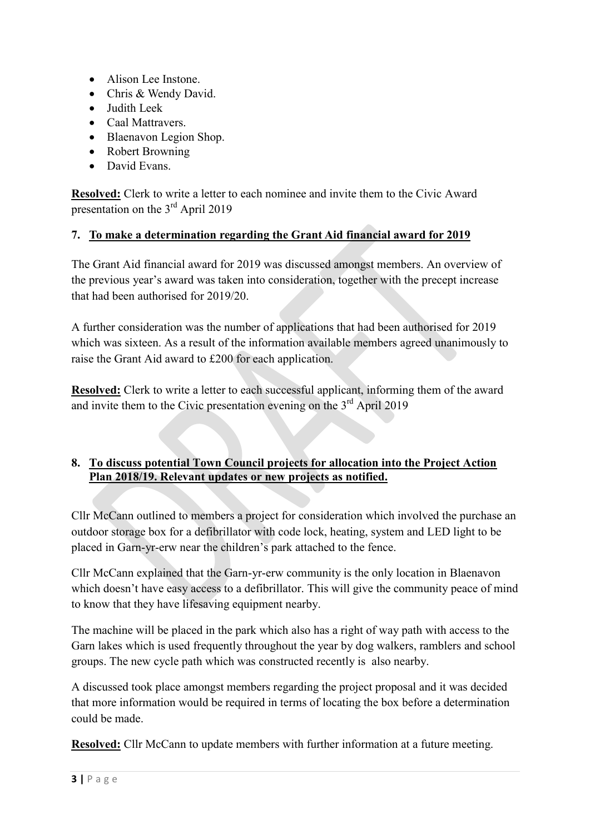- Alison Lee Instone.
- Chris & Wendy David.
- Judith Leek
- Caal Mattravers
- Blaenavon Legion Shop.
- Robert Browning
- David Evans.

**Resolved:** Clerk to write a letter to each nominee and invite them to the Civic Award presentation on the 3rd April 2019

## **7. To make a determination regarding the Grant Aid financial award for 2019**

The Grant Aid financial award for 2019 was discussed amongst members. An overview of the previous year's award was taken into consideration, together with the precept increase that had been authorised for 2019/20.

A further consideration was the number of applications that had been authorised for 2019 which was sixteen. As a result of the information available members agreed unanimously to raise the Grant Aid award to £200 for each application.

**Resolved:** Clerk to write a letter to each successful applicant, informing them of the award and invite them to the Civic presentation evening on the  $3<sup>rd</sup>$  April 2019

# **8. To discuss potential Town Council projects for allocation into the Project Action Plan 2018/19. Relevant updates or new projects as notified.**

Cllr McCann outlined to members a project for consideration which involved the purchase an outdoor storage box for a defibrillator with code lock, heating, system and LED light to be placed in Garn-yr-erw near the children's park attached to the fence.

Cllr McCann explained that the Garn-yr-erw community is the only location in Blaenavon which doesn't have easy access to a defibrillator. This will give the community peace of mind to know that they have lifesaving equipment nearby.

The machine will be placed in the park which also has a right of way path with access to the Garn lakes which is used frequently throughout the year by dog walkers, ramblers and school groups. The new cycle path which was constructed recently is also nearby.

A discussed took place amongst members regarding the project proposal and it was decided that more information would be required in terms of locating the box before a determination could be made.

**Resolved:** Cllr McCann to update members with further information at a future meeting.